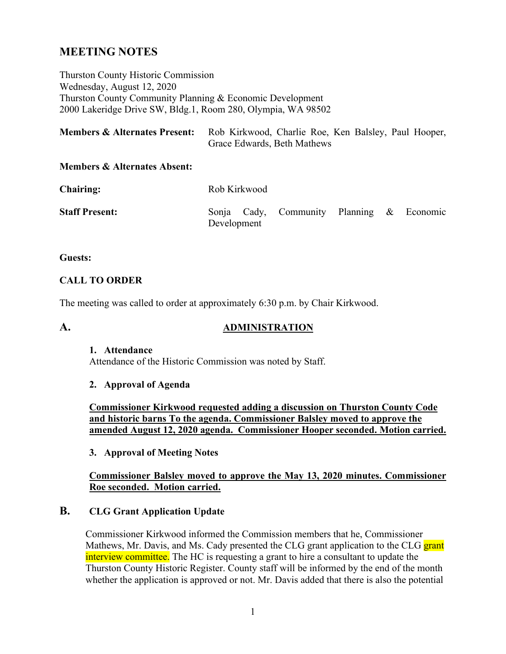# **MEETING NOTES**

Thurston County Historic Commission Wednesday, August 12, 2020 Thurston County Community Planning & Economic Development 2000 Lakeridge Drive SW, Bldg.1, Room 280, Olympia, WA 98502

| <b>Members &amp; Alternates Present:</b> | Rob Kirkwood, Charlie Roe, Ken Balsley, Paul Hooper, |
|------------------------------------------|------------------------------------------------------|
|                                          | Grace Edwards, Beth Mathews                          |

#### **Members & Alternates Absent:**

| <b>Chairing:</b>      | Rob Kirkwood |  |                                           |  |  |  |
|-----------------------|--------------|--|-------------------------------------------|--|--|--|
| <b>Staff Present:</b> | Development  |  | Sonja Cady, Community Planning & Economic |  |  |  |

#### **Guests:**

#### **CALL TO ORDER**

The meeting was called to order at approximately 6:30 p.m. by Chair Kirkwood.

## **A. ADMINISTRATION**

#### **1. Attendance**

Attendance of the Historic Commission was noted by Staff.

#### **2. Approval of Agenda**

**Commissioner Kirkwood requested adding a discussion on Thurston County Code and historic barns To the agenda. Commissioner Balsley moved to approve the amended August 12, 2020 agenda. Commissioner Hooper seconded. Motion carried.**

#### **3. Approval of Meeting Notes**

## **Commissioner Balsley moved to approve the May 13, 2020 minutes. Commissioner Roe seconded. Motion carried.**

## **B. CLG Grant Application Update**

Commissioner Kirkwood informed the Commission members that he, Commissioner Mathews, Mr. Davis, and Ms. Cady presented the CLG grant application to the CLG grant interview committee. The HC is requesting a grant to hire a consultant to update the Thurston County Historic Register. County staff will be informed by the end of the month whether the application is approved or not. Mr. Davis added that there is also the potential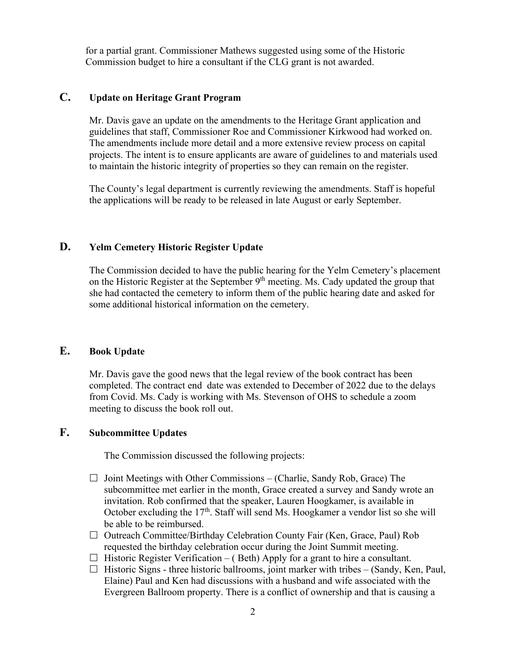for a partial grant. Commissioner Mathews suggested using some of the Historic Commission budget to hire a consultant if the CLG grant is not awarded.

## **C. Update on Heritage Grant Program**

Mr. Davis gave an update on the amendments to the Heritage Grant application and guidelines that staff, Commissioner Roe and Commissioner Kirkwood had worked on. The amendments include more detail and a more extensive review process on capital projects. The intent is to ensure applicants are aware of guidelines to and materials used to maintain the historic integrity of properties so they can remain on the register.

The County's legal department is currently reviewing the amendments. Staff is hopeful the applications will be ready to be released in late August or early September.

#### **D. Yelm Cemetery Historic Register Update**

The Commission decided to have the public hearing for the Yelm Cemetery's placement on the Historic Register at the September 9<sup>th</sup> meeting. Ms. Cady updated the group that she had contacted the cemetery to inform them of the public hearing date and asked for some additional historical information on the cemetery.

## **E. Book Update**

Mr. Davis gave the good news that the legal review of the book contract has been completed. The contract end date was extended to December of 2022 due to the delays from Covid. Ms. Cady is working with Ms. Stevenson of OHS to schedule a zoom meeting to discuss the book roll out.

## **F. Subcommittee Updates**

The Commission discussed the following projects:

- $\Box$  Joint Meetings with Other Commissions (Charlie, Sandy Rob, Grace) The subcommittee met earlier in the month, Grace created a survey and Sandy wrote an invitation. Rob confirmed that the speaker, Lauren Hoogkamer, is available in October excluding the  $17<sup>th</sup>$ . Staff will send Ms. Hoogkamer a vendor list so she will be able to be reimbursed.
- $\Box$  Outreach Committee/Birthday Celebration County Fair (Ken, Grace, Paul) Rob requested the birthday celebration occur during the Joint Summit meeting.
- $\Box$  Historic Register Verification (Beth) Apply for a grant to hire a consultant.
- $\Box$  Historic Signs three historic ballrooms, joint marker with tribes (Sandy, Ken, Paul, Elaine) Paul and Ken had discussions with a husband and wife associated with the Evergreen Ballroom property. There is a conflict of ownership and that is causing a